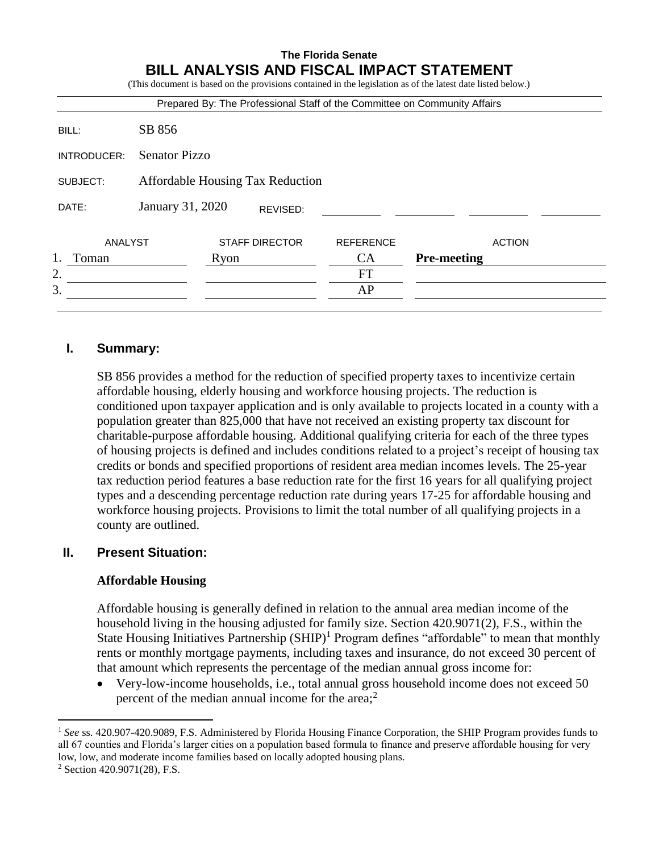## **The Florida Senate BILL ANALYSIS AND FISCAL IMPACT STATEMENT**

|             |                                  |      |                       |                  | (This document is based on the provisions contained in the legislation as of the latest date listed below.)<br>Prepared By: The Professional Staff of the Committee on Community Affairs |  |
|-------------|----------------------------------|------|-----------------------|------------------|------------------------------------------------------------------------------------------------------------------------------------------------------------------------------------------|--|
| BILL:       | SB 856                           |      |                       |                  |                                                                                                                                                                                          |  |
| INTRODUCER: | <b>Senator Pizzo</b>             |      |                       |                  |                                                                                                                                                                                          |  |
| SUBJECT:    | Affordable Housing Tax Reduction |      |                       |                  |                                                                                                                                                                                          |  |
| DATE:       | January 31, 2020                 |      | REVISED:              |                  |                                                                                                                                                                                          |  |
| ANALYST     |                                  |      | <b>STAFF DIRECTOR</b> | <b>REFERENCE</b> | <b>ACTION</b>                                                                                                                                                                            |  |
| Toman       |                                  | Ryon |                       | <b>CA</b>        | <b>Pre-meeting</b>                                                                                                                                                                       |  |
| 2.          |                                  |      |                       | FT               |                                                                                                                                                                                          |  |
| 3.          |                                  |      |                       | AP               |                                                                                                                                                                                          |  |

## **I. Summary:**

SB 856 provides a method for the reduction of specified property taxes to incentivize certain affordable housing, elderly housing and workforce housing projects. The reduction is conditioned upon taxpayer application and is only available to projects located in a county with a population greater than 825,000 that have not received an existing property tax discount for charitable-purpose affordable housing. Additional qualifying criteria for each of the three types of housing projects is defined and includes conditions related to a project's receipt of housing tax credits or bonds and specified proportions of resident area median incomes levels. The 25-year tax reduction period features a base reduction rate for the first 16 years for all qualifying project types and a descending percentage reduction rate during years 17-25 for affordable housing and workforce housing projects. Provisions to limit the total number of all qualifying projects in a county are outlined.

#### **II. Present Situation:**

#### **Affordable Housing**

Affordable housing is generally defined in relation to the annual area median income of the household living in the housing adjusted for family size. Section 420.9071(2), F.S., within the State Housing Initiatives Partnership  $(SHP)^1$  Program defines "affordable" to mean that monthly rents or monthly mortgage payments, including taxes and insurance, do not exceed 30 percent of that amount which represents the percentage of the median annual gross income for:

 Very-low-income households, i.e., total annual gross household income does not exceed 50 percent of the median annual income for the area;<sup>2</sup>

<sup>1</sup> *See* ss. 420.907-420.9089, F.S. Administered by Florida Housing Finance Corporation, the SHIP Program provides funds to all 67 counties and Florida's larger cities on a population based formula to finance and preserve affordable housing for very low, low, and moderate income families based on locally adopted housing plans.

<sup>2</sup> Section 420.9071(28), F.S.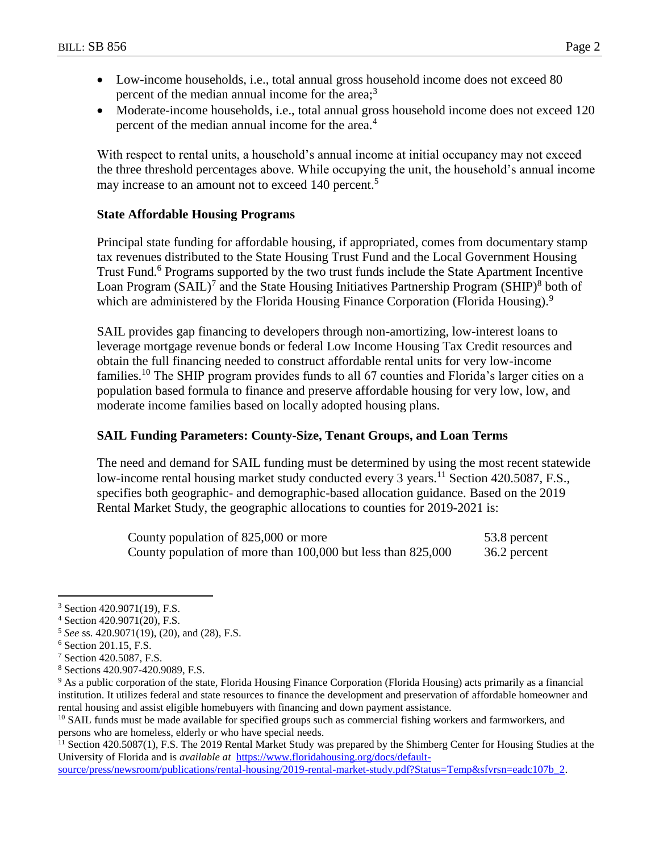- Low-income households, i.e., total annual gross household income does not exceed 80 percent of the median annual income for the area; $3$
- Moderate-income households, i.e., total annual gross household income does not exceed 120 percent of the median annual income for the area.<sup>4</sup>

With respect to rental units, a household's annual income at initial occupancy may not exceed the three threshold percentages above. While occupying the unit, the household's annual income may increase to an amount not to exceed 140 percent.<sup>5</sup>

#### **State Affordable Housing Programs**

Principal state funding for affordable housing, if appropriated, comes from documentary stamp tax revenues distributed to the State Housing Trust Fund and the Local Government Housing Trust Fund.<sup>6</sup> Programs supported by the two trust funds include the State Apartment Incentive Loan Program  $(SAIL)^7$  and the State Housing Initiatives Partnership Program  $(SHIP)^8$  both of which are administered by the Florida Housing Finance Corporation (Florida Housing).<sup>9</sup>

SAIL provides gap financing to developers through non-amortizing, low-interest loans to leverage mortgage revenue bonds or federal Low Income Housing Tax Credit resources and obtain the full financing needed to construct affordable rental units for very low-income families.<sup>10</sup> The SHIP program provides funds to all 67 counties and Florida's larger cities on a population based formula to finance and preserve affordable housing for very low, low, and moderate income families based on locally adopted housing plans.

#### **SAIL Funding Parameters: County-Size, Tenant Groups, and Loan Terms**

The need and demand for SAIL funding must be determined by using the most recent statewide low-income rental housing market study conducted every 3 years.<sup>11</sup> Section 420.5087, F.S., specifies both geographic- and demographic-based allocation guidance. Based on the 2019 Rental Market Study, the geographic allocations to counties for 2019-2021 is:

| County population of 825,000 or more                         | 53.8 percent |
|--------------------------------------------------------------|--------------|
| County population of more than 100,000 but less than 825,000 | 36.2 percent |

 $\overline{a}$ 

<sup>11</sup> Section 420.5087(1), F.S. The 2019 Rental Market Study was prepared by the Shimberg Center for Housing Studies at the University of Florida and is *available at* [https://www.floridahousing.org/docs/default-](https://www.floridahousing.org/docs/default-source/press/newsroom/publications/rental-housing/2019-rental-market-study.pdf?Status=Temp&sfvrsn=eadc107b_2)

[source/press/newsroom/publications/rental-housing/2019-rental-market-study.pdf?Status=Temp&sfvrsn=eadc107b\\_2.](https://www.floridahousing.org/docs/default-source/press/newsroom/publications/rental-housing/2019-rental-market-study.pdf?Status=Temp&sfvrsn=eadc107b_2)

<sup>3</sup> Section 420.9071(19), F.S.

<sup>4</sup> Section 420.9071(20), F.S.

<sup>5</sup> *See* ss. 420.9071(19), (20), and (28), F.S.

<sup>6</sup> Section 201.15, F.S.

<sup>7</sup> Section 420.5087, F.S.

<sup>8</sup> Sections 420.907-420.9089, F.S.

<sup>9</sup> As a public corporation of the state, Florida Housing Finance Corporation (Florida Housing) acts primarily as a financial institution. It utilizes federal and state resources to finance the development and preservation of affordable homeowner and rental housing and assist eligible homebuyers with financing and down payment assistance.

<sup>&</sup>lt;sup>10</sup> SAIL funds must be made available for specified groups such as commercial fishing workers and farmworkers, and persons who are homeless, elderly or who have special needs.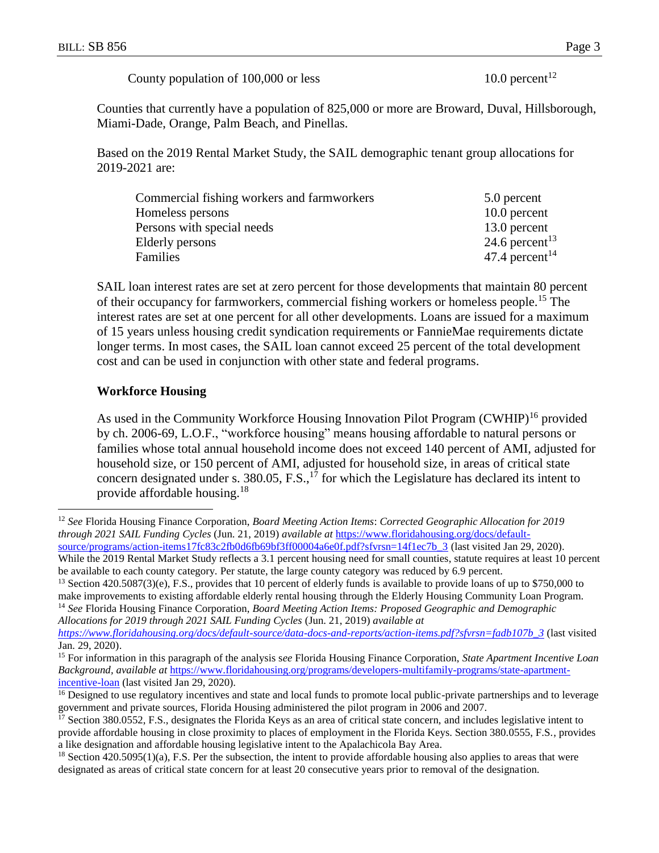County population of 100,000 or less  $10.0$  percent<sup>12</sup>

Counties that currently have a population of 825,000 or more are Broward, Duval, Hillsborough, Miami-Dade, Orange, Palm Beach, and Pinellas.

Based on the 2019 Rental Market Study, the SAIL demographic tenant group allocations for 2019-2021 are:

| Commercial fishing workers and farmworkers | 5.0 percent                |
|--------------------------------------------|----------------------------|
| Homeless persons                           | $10.0$ percent             |
| Persons with special needs                 | 13.0 percent               |
| Elderly persons                            | 24.6 percent <sup>13</sup> |
| Families                                   | 47.4 percent <sup>14</sup> |

SAIL loan interest rates are set at zero percent for those developments that maintain 80 percent of their occupancy for farmworkers, commercial fishing workers or homeless people.<sup>15</sup> The interest rates are set at one percent for all other developments. Loans are issued for a maximum of 15 years unless housing credit syndication requirements or FannieMae requirements dictate longer terms. In most cases, the SAIL loan cannot exceed 25 percent of the total development cost and can be used in conjunction with other state and federal programs.

#### **Workforce Housing**

 $\overline{a}$ 

As used in the Community Workforce Housing Innovation Pilot Program (CWHIP)<sup>16</sup> provided by ch. 2006-69, L.O.F., "workforce housing" means housing affordable to natural persons or families whose total annual household income does not exceed 140 percent of AMI, adjusted for household size, or 150 percent of AMI, adjusted for household size, in areas of critical state concern designated under s. 380.05, F.S.,<sup>17</sup> for which the Legislature has declared its intent to provide affordable housing.<sup>18</sup>

<sup>14</sup> *See* Florida Housing Finance Corporation, *Board Meeting Action Items: Proposed Geographic and Demographic Allocations for 2019 through 2021 SAIL Funding Cycles* (Jun. 21, 2019) *available at*

<sup>12</sup> *See* Florida Housing Finance Corporation, *Board Meeting Action Items*: *Corrected Geographic Allocation for 2019 through 2021 SAIL Funding Cycles* (Jun. 21, 2019) *available at* [https://www.floridahousing.org/docs/default](https://www.floridahousing.org/docs/default-source/programs/action-items17fc83c2fb0d6fb69bf3ff00004a6e0f.pdf?sfvrsn=14f1ec7b_3)[source/programs/action-items17fc83c2fb0d6fb69bf3ff00004a6e0f.pdf?sfvrsn=14f1ec7b\\_3](https://www.floridahousing.org/docs/default-source/programs/action-items17fc83c2fb0d6fb69bf3ff00004a6e0f.pdf?sfvrsn=14f1ec7b_3) (last visited Jan 29, 2020).

While the 2019 Rental Market Study reflects a 3.1 percent housing need for small counties, statute requires at least 10 percent be available to each county category. Per statute, the large county category was reduced by 6.9 percent.

<sup>&</sup>lt;sup>13</sup> Section 420.5087(3)(e), F.S., provides that 10 percent of elderly funds is available to provide loans of up to \$750,000 to make improvements to existing affordable elderly rental housing through the Elderly Housing Community Loan Program.

*[https://www.floridahousing.org/docs/default-source/data-docs-and-reports/action-items.pdf?sfvrsn=fadb107b\\_3](https://www.floridahousing.org/docs/default-source/data-docs-and-reports/action-items.pdf?sfvrsn=fadb107b_3)* (last visited Jan. 29, 2020).

<sup>15</sup> For information in this paragraph of the analysis s*ee* Florida Housing Finance Corporation, *State Apartment Incentive Loan Background, available at* [https://www.floridahousing.org/programs/developers-multifamily-programs/state-apartment](https://www.floridahousing.org/programs/developers-multifamily-programs/state-apartment-incentive-loan)[incentive-loan](https://www.floridahousing.org/programs/developers-multifamily-programs/state-apartment-incentive-loan) (last visited Jan 29, 2020).

<sup>&</sup>lt;sup>16</sup> Designed to use regulatory incentives and state and local funds to promote local public-private partnerships and to leverage government and private sources, Florida Housing administered the pilot program in 2006 and 2007.

<sup>&</sup>lt;sup>17</sup> Section 380.0552, F.S., designates the Florida Keys as an area of critical state concern, and includes legislative intent to provide affordable housing in close proximity to places of employment in the Florida Keys. Section 380.0555, F.S., provides a like designation and affordable housing legislative intent to the Apalachicola Bay Area.

 $18$  Section 420.5095(1)(a), F.S. Per the subsection, the intent to provide affordable housing also applies to areas that were designated as areas of critical state concern for at least 20 consecutive years prior to removal of the designation.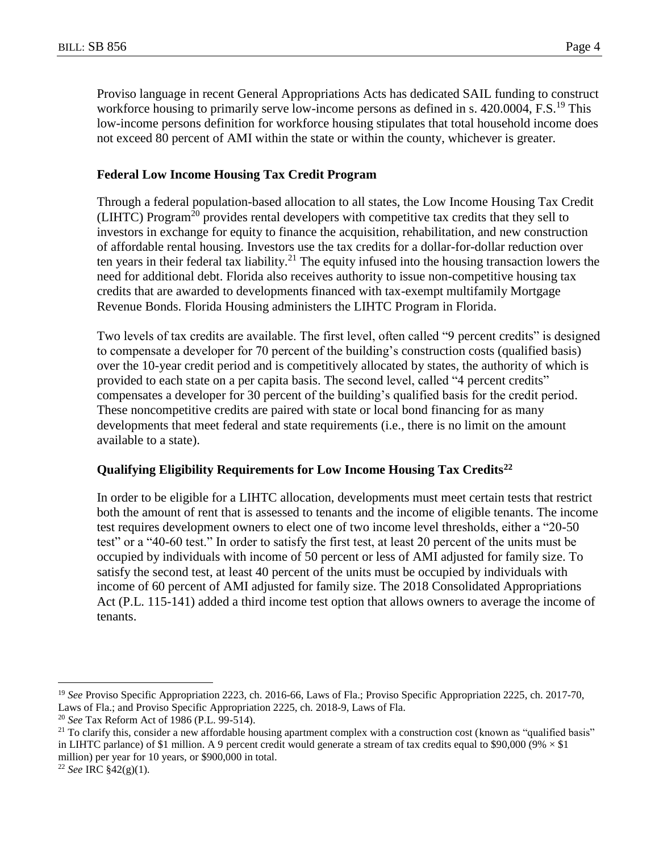Proviso language in recent General Appropriations Acts has dedicated SAIL funding to construct workforce housing to primarily serve low-income persons as defined in s. 420.0004, F.S.<sup>19</sup> This low-income persons definition for workforce housing stipulates that total household income does not exceed 80 percent of AMI within the state or within the county, whichever is greater.

#### **Federal Low Income Housing Tax Credit Program**

Through a federal population-based allocation to all states, the Low Income Housing Tax Credit (LIHTC) Program<sup>20</sup> provides rental developers with competitive tax credits that they sell to investors in exchange for equity to finance the acquisition, rehabilitation, and new construction of affordable rental housing. Investors use the tax credits for a dollar-for-dollar reduction over ten years in their federal tax liability.<sup>21</sup> The equity infused into the housing transaction lowers the need for additional debt. Florida also receives authority to issue non-competitive housing tax credits that are awarded to developments financed with tax-exempt multifamily Mortgage Revenue Bonds. Florida Housing administers the LIHTC Program in Florida.

Two levels of tax credits are available. The first level, often called "9 percent credits" is designed to compensate a developer for 70 percent of the building's construction costs (qualified basis) over the 10-year credit period and is competitively allocated by states, the authority of which is provided to each state on a per capita basis. The second level, called "4 percent credits" compensates a developer for 30 percent of the building's qualified basis for the credit period. These noncompetitive credits are paired with state or local bond financing for as many developments that meet federal and state requirements (i.e., there is no limit on the amount available to a state).

#### **Qualifying Eligibility Requirements for Low Income Housing Tax Credits<sup>22</sup>**

In order to be eligible for a LIHTC allocation, developments must meet certain tests that restrict both the amount of rent that is assessed to tenants and the income of eligible tenants. The income test requires development owners to elect one of two income level thresholds, either a "20-50 test" or a "40-60 test." In order to satisfy the first test, at least 20 percent of the units must be occupied by individuals with income of 50 percent or less of AMI adjusted for family size. To satisfy the second test, at least 40 percent of the units must be occupied by individuals with income of 60 percent of AMI adjusted for family size. The 2018 Consolidated Appropriations Act (P.L. 115-141) added a third income test option that allows owners to average the income of tenants.

<sup>19</sup> *See* Proviso Specific Appropriation 2223, ch. 2016-66, Laws of Fla.; Proviso Specific Appropriation 2225, ch. 2017-70, Laws of Fla.; and Proviso Specific Appropriation 2225, ch. 2018-9, Laws of Fla.

<sup>20</sup> *See* Tax Reform Act of 1986 (P.L. 99-514).

<sup>&</sup>lt;sup>21</sup> To clarify this, consider a new affordable housing apartment complex with a construction cost (known as "qualified basis" in LIHTC parlance) of \$1 million. A 9 percent credit would generate a stream of tax credits equal to \$90,000 (9%  $\times$  \$1 million) per year for 10 years, or \$900,000 in total.

<sup>22</sup> *See* IRC §42(g)(1)*.*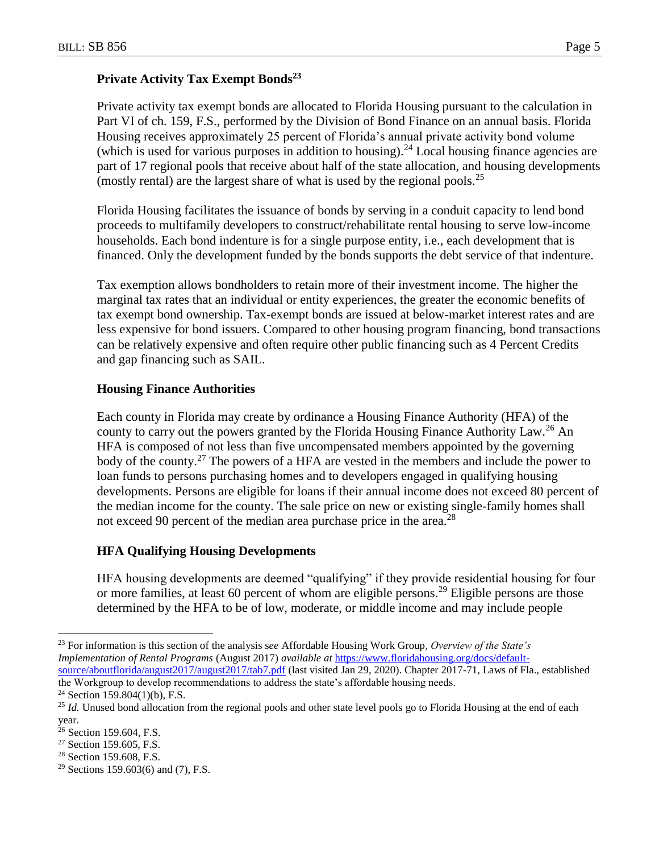# **Private Activity Tax Exempt Bonds<sup>23</sup>**

Private activity tax exempt bonds are allocated to Florida Housing pursuant to the calculation in Part VI of ch. 159, F.S., performed by the Division of Bond Finance on an annual basis. Florida Housing receives approximately 25 percent of Florida's annual private activity bond volume (which is used for various purposes in addition to housing).<sup>24</sup> Local housing finance agencies are part of 17 regional pools that receive about half of the state allocation, and housing developments (mostly rental) are the largest share of what is used by the regional pools.<sup>25</sup>

Florida Housing facilitates the issuance of bonds by serving in a conduit capacity to lend bond proceeds to multifamily developers to construct/rehabilitate rental housing to serve low-income households. Each bond indenture is for a single purpose entity, i.e., each development that is financed. Only the development funded by the bonds supports the debt service of that indenture.

Tax exemption allows bondholders to retain more of their investment income. The higher the marginal tax rates that an individual or entity experiences, the greater the economic benefits of tax exempt bond ownership. Tax-exempt bonds are issued at below-market interest rates and are less expensive for bond issuers. Compared to other housing program financing, bond transactions can be relatively expensive and often require other public financing such as 4 Percent Credits and gap financing such as SAIL.

## **Housing Finance Authorities**

Each county in Florida may create by ordinance a Housing Finance Authority (HFA) of the county to carry out the powers granted by the Florida Housing Finance Authority Law.<sup>26</sup> An HFA is composed of not less than five uncompensated members appointed by the governing body of the county.<sup>27</sup> The powers of a HFA are vested in the members and include the power to loan funds to persons purchasing homes and to developers engaged in qualifying housing developments. Persons are eligible for loans if their annual income does not exceed 80 percent of the median income for the county. The sale price on new or existing single-family homes shall not exceed 90 percent of the median area purchase price in the area.<sup>28</sup>

## **HFA Qualifying Housing Developments**

HFA housing developments are deemed "qualifying" if they provide residential housing for four or more families, at least 60 percent of whom are eligible persons.<sup>29</sup> Eligible persons are those determined by the HFA to be of low, moderate, or middle income and may include people

<sup>23</sup> For information is this section of the analysis s*ee* Affordable Housing Work Group, *Overview of the State's Implementation of Rental Programs* (August 2017) *available at* [https://www.floridahousing.org/docs/default](https://www.floridahousing.org/docs/default-source/aboutflorida/august2017/august2017/tab7.pdf)[source/aboutflorida/august2017/august2017/tab7.pdf](https://www.floridahousing.org/docs/default-source/aboutflorida/august2017/august2017/tab7.pdf) (last visited Jan 29, 2020). Chapter 2017-71, Laws of Fla., established the Workgroup to develop recommendations to address the state's affordable housing needs.

<sup>&</sup>lt;sup>24</sup> Section 159.804(1)(b), F.S.

<sup>&</sup>lt;sup>25</sup> *Id.* Unused bond allocation from the regional pools and other state level pools go to Florida Housing at the end of each year.

<sup>&</sup>lt;sup>26</sup> Section 159.604, F.S.

<sup>&</sup>lt;sup>27</sup> Section 159.605, F.S.

<sup>28</sup> Section 159.608, F.S.

<sup>&</sup>lt;sup>29</sup> Sections 159.603(6) and (7), F.S.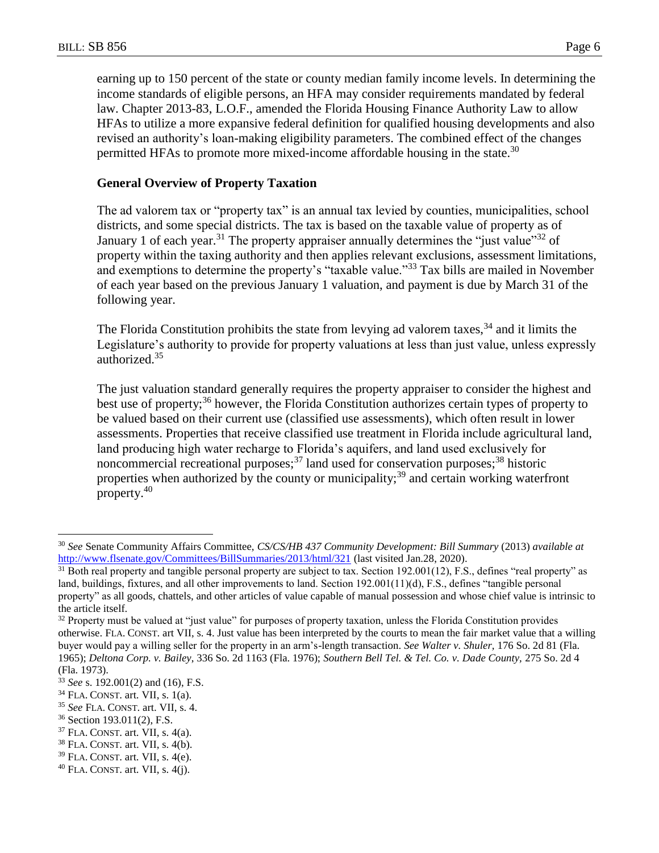earning up to 150 percent of the state or county median family income levels. In determining the income standards of eligible persons, an HFA may consider requirements mandated by federal law. Chapter 2013-83, L.O.F., amended the Florida Housing Finance Authority Law to allow HFAs to utilize a more expansive federal definition for qualified housing developments and also revised an authority's loan-making eligibility parameters. The combined effect of the changes permitted HFAs to promote more mixed-income affordable housing in the state.<sup>30</sup>

## **General Overview of Property Taxation**

The ad valorem tax or "property tax" is an annual tax levied by counties, municipalities, school districts, and some special districts. The tax is based on the taxable value of property as of January 1 of each year.<sup>31</sup> The property appraiser annually determines the "just value"<sup>32</sup> of property within the taxing authority and then applies relevant exclusions, assessment limitations, and exemptions to determine the property's "taxable value."<sup>33</sup> Tax bills are mailed in November of each year based on the previous January 1 valuation, and payment is due by March 31 of the following year.

The Florida Constitution prohibits the state from levying ad valorem taxes,<sup>34</sup> and it limits the Legislature's authority to provide for property valuations at less than just value, unless expressly authorized.<sup>35</sup>

The just valuation standard generally requires the property appraiser to consider the highest and best use of property;<sup>36</sup> however, the Florida Constitution authorizes certain types of property to be valued based on their current use (classified use assessments), which often result in lower assessments. Properties that receive classified use treatment in Florida include agricultural land, land producing high water recharge to Florida's aquifers, and land used exclusively for noncommercial recreational purposes;  $37$  land used for conservation purposes;  $38$  historic properties when authorized by the county or municipality;<sup>39</sup> and certain working waterfront property.<sup>40</sup>

<sup>30</sup> *See* Senate Community Affairs Committee, *CS/CS/HB 437 Community Development: Bill Summary* (2013) *available at* <http://www.flsenate.gov/Committees/BillSummaries/2013/html/321> (last visited Jan.28, 2020).

 $31$  Both real property and tangible personal property are subject to tax. Section 192.001(12), F.S., defines "real property" as land, buildings, fixtures, and all other improvements to land. Section 192.001(11)(d), F.S., defines "tangible personal property" as all goods, chattels, and other articles of value capable of manual possession and whose chief value is intrinsic to the article itself.

<sup>&</sup>lt;sup>32</sup> Property must be valued at "just value" for purposes of property taxation, unless the Florida Constitution provides otherwise. FLA. CONST. art VII, s. 4. Just value has been interpreted by the courts to mean the fair market value that a willing buyer would pay a willing seller for the property in an arm's-length transaction. *See Walter v. Shuler,* 176 So. 2d 81 (Fla. 1965); *Deltona Corp. v. Bailey*, 336 So. 2d 1163 (Fla. 1976); *Southern Bell Tel. & Tel. Co. v. Dade County,* 275 So. 2d 4 (Fla. 1973).

<sup>33</sup> *See* s. 192.001(2) and (16), F.S.

 $34$  FLA. CONST. art. VII, s. 1(a).

<sup>35</sup> *See* FLA. CONST. art. VII, s. 4.

<sup>36</sup> Section 193.011(2), F.S.

<sup>37</sup> FLA. CONST. art. VII, s. 4(a).

 $38$  FLA. CONST. art. VII, s. 4(b).

 $39$  FLA. CONST. art. VII, s. 4(e).

 $40$  FLA. CONST. art. VII, s.  $4(j)$ .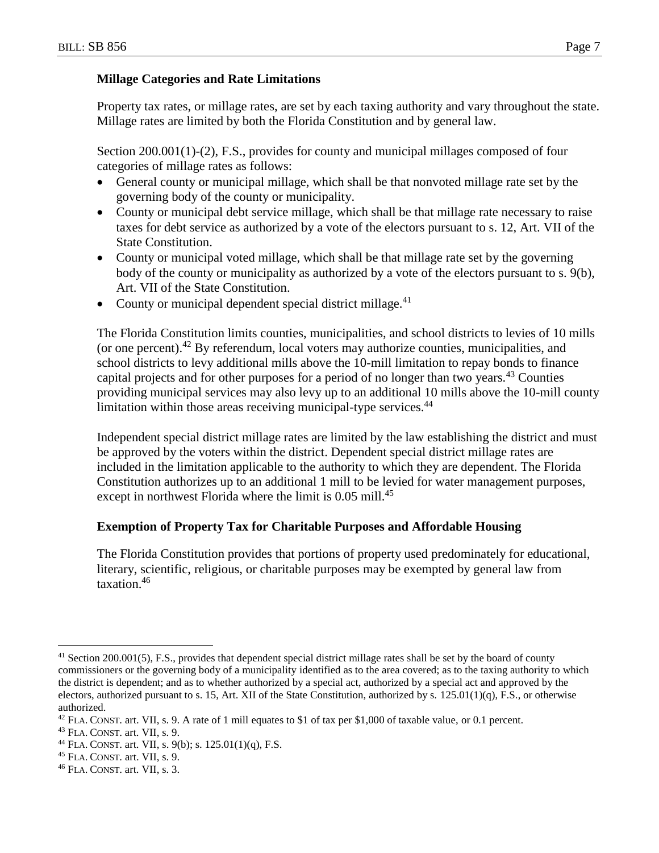#### **Millage Categories and Rate Limitations**

Property tax rates, or millage rates, are set by each taxing authority and vary throughout the state. Millage rates are limited by both the Florida Constitution and by general law.

Section 200.001(1)-(2), F.S., provides for county and municipal millages composed of four categories of millage rates as follows:

- General county or municipal millage, which shall be that nonvoted millage rate set by the governing body of the county or municipality.
- County or municipal debt service millage, which shall be that millage rate necessary to raise taxes for debt service as authorized by a vote of the electors pursuant to s. 12, Art. VII of the State Constitution.
- County or municipal voted millage, which shall be that millage rate set by the governing body of the county or municipality as authorized by a vote of the electors pursuant to s. 9(b), Art. VII of the State Constitution.
- County or municipal dependent special district millage. $41$

The Florida Constitution limits counties, municipalities, and school districts to levies of 10 mills (or one percent).<sup>42</sup> By referendum, local voters may authorize counties, municipalities, and school districts to levy additional mills above the 10-mill limitation to repay bonds to finance capital projects and for other purposes for a period of no longer than two years.<sup>43</sup> Counties providing municipal services may also levy up to an additional 10 mills above the 10-mill county limitation within those areas receiving municipal-type services.<sup>44</sup>

Independent special district millage rates are limited by the law establishing the district and must be approved by the voters within the district. Dependent special district millage rates are included in the limitation applicable to the authority to which they are dependent. The Florida Constitution authorizes up to an additional 1 mill to be levied for water management purposes, except in northwest Florida where the limit is  $0.05$  mill.<sup>45</sup>

#### **Exemption of Property Tax for Charitable Purposes and Affordable Housing**

The Florida Constitution provides that portions of property used predominately for educational, literary, scientific, religious, or charitable purposes may be exempted by general law from taxation.<sup>46</sup>

<sup>45</sup> FLA. CONST. art. VII, s. 9.

 $\overline{a}$  $41$  Section 200.001(5), F.S., provides that dependent special district millage rates shall be set by the board of county commissioners or the governing body of a municipality identified as to the area covered; as to the taxing authority to which the district is dependent; and as to whether authorized by a special act, authorized by a special act and approved by the electors, authorized pursuant to s. 15, Art. XII of the State Constitution, authorized by s.  $125.01(1)(q)$ , F.S., or otherwise authorized.

 $42$  FLA. CONST. art. VII, s. 9. A rate of 1 mill equates to \$1 of tax per \$1,000 of taxable value, or 0.1 percent.

<sup>43</sup> FLA. CONST. art. VII, s. 9.

<sup>&</sup>lt;sup>44</sup> FLA. CONST. art. VII, s.  $9(b)$ ; s.  $125.01(1)(q)$ , F.S.

<sup>46</sup> FLA. CONST. art. VII, s. 3.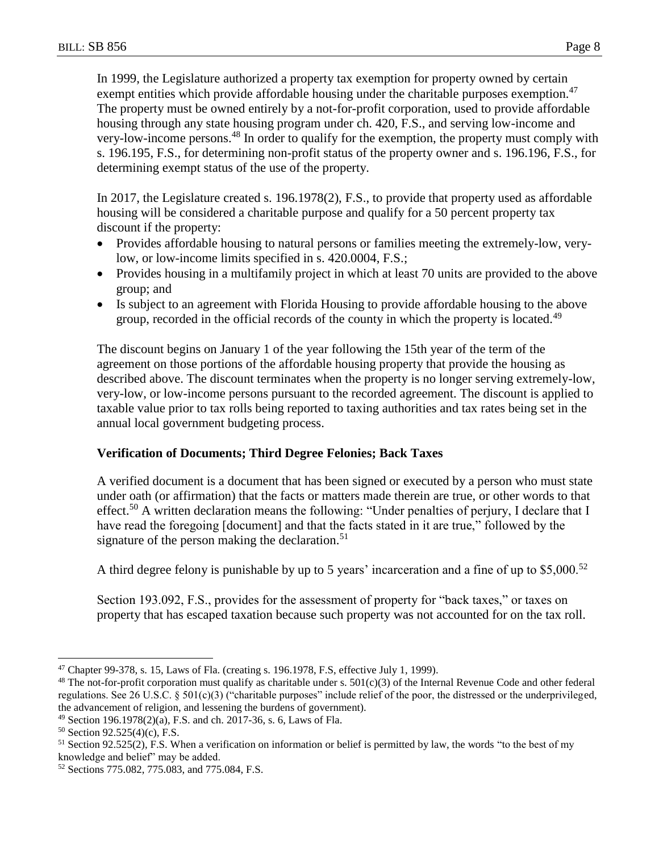In 1999, the Legislature authorized a property tax exemption for property owned by certain exempt entities which provide affordable housing under the charitable purposes exemption. $47$ The property must be owned entirely by a not-for-profit corporation, used to provide affordable housing through any state housing program under ch. 420, F.S., and serving low-income and very-low-income persons.<sup>48</sup> In order to qualify for the exemption, the property must comply with s. 196.195, F.S., for determining non-profit status of the property owner and s. 196.196, F.S., for determining exempt status of the use of the property.

In 2017, the Legislature created s. 196.1978(2), F.S., to provide that property used as affordable housing will be considered a charitable purpose and qualify for a 50 percent property tax discount if the property:

- Provides affordable housing to natural persons or families meeting the extremely-low, verylow, or low-income limits specified in s. 420.0004, F.S.;
- Provides housing in a multifamily project in which at least 70 units are provided to the above group; and
- Is subject to an agreement with Florida Housing to provide affordable housing to the above group, recorded in the official records of the county in which the property is located.<sup>49</sup>

The discount begins on January 1 of the year following the 15th year of the term of the agreement on those portions of the affordable housing property that provide the housing as described above. The discount terminates when the property is no longer serving extremely-low, very-low, or low-income persons pursuant to the recorded agreement. The discount is applied to taxable value prior to tax rolls being reported to taxing authorities and tax rates being set in the annual local government budgeting process.

## **Verification of Documents; Third Degree Felonies; Back Taxes**

A verified document is a document that has been signed or executed by a person who must state under oath (or affirmation) that the facts or matters made therein are true, or other words to that effect.<sup>50</sup> A written declaration means the following: "Under penalties of perjury, I declare that I have read the foregoing [document] and that the facts stated in it are true," followed by the signature of the person making the declaration.<sup>51</sup>

A third degree felony is punishable by up to 5 years' incarceration and a fine of up to  $$5,000<sup>52</sup>$ 

Section 193.092, F.S., provides for the assessment of property for "back taxes," or taxes on property that has escaped taxation because such property was not accounted for on the tax roll.

 $\overline{a}$ <sup>47</sup> Chapter 99-378, s. 15, Laws of Fla. (creating s. 196.1978, F.S, effective July 1, 1999).

<sup>&</sup>lt;sup>48</sup> The not-for-profit corporation must qualify as charitable under s.  $501(c)(3)$  of the Internal Revenue Code and other federal regulations. See 26 U.S.C. § 501(c)(3) ("charitable purposes" include relief of the poor, the distressed or the underprivileged, the advancement of religion, and lessening the burdens of government).

<sup>49</sup> Section 196.1978(2)(a), F.S. and ch. 2017-36, s. 6, Laws of Fla.

<sup>50</sup> Section 92.525(4)(c), F.S.

 $<sup>51</sup>$  Section 92.525(2), F.S. When a verification on information or belief is permitted by law, the words "to the best of my</sup> knowledge and belief" may be added.

<sup>52</sup> Sections 775.082, 775.083, and 775.084, F.S.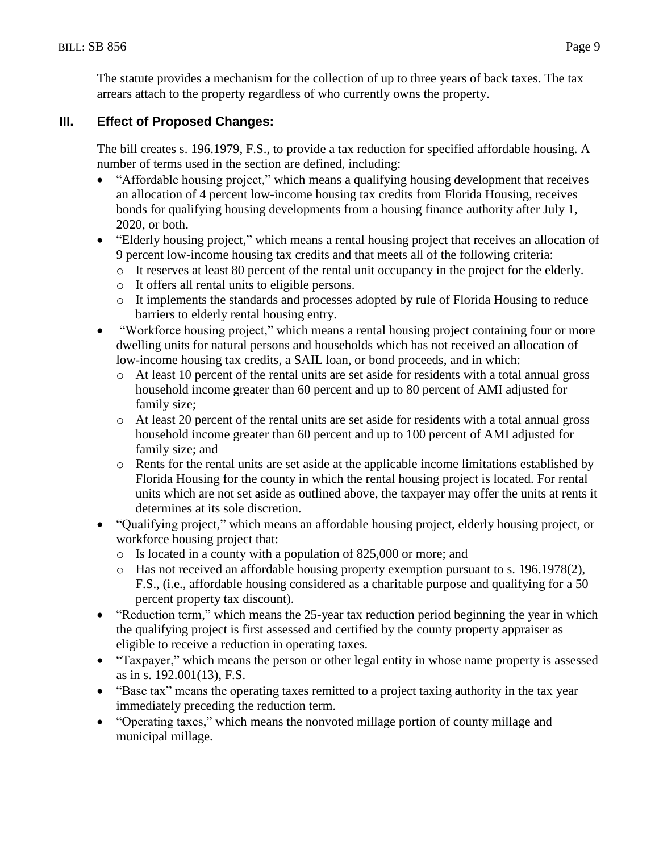The statute provides a mechanism for the collection of up to three years of back taxes. The tax arrears attach to the property regardless of who currently owns the property.

## **III. Effect of Proposed Changes:**

The bill creates s. 196.1979, F.S., to provide a tax reduction for specified affordable housing. A number of terms used in the section are defined, including:

- "Affordable housing project," which means a qualifying housing development that receives an allocation of 4 percent low-income housing tax credits from Florida Housing, receives bonds for qualifying housing developments from a housing finance authority after July 1, 2020, or both.
- "Elderly housing project," which means a rental housing project that receives an allocation of 9 percent low-income housing tax credits and that meets all of the following criteria:
	- o It reserves at least 80 percent of the rental unit occupancy in the project for the elderly.
	- o It offers all rental units to eligible persons.
	- o It implements the standards and processes adopted by rule of Florida Housing to reduce barriers to elderly rental housing entry.
- "Workforce housing project," which means a rental housing project containing four or more dwelling units for natural persons and households which has not received an allocation of low-income housing tax credits, a SAIL loan, or bond proceeds, and in which:
	- o At least 10 percent of the rental units are set aside for residents with a total annual gross household income greater than 60 percent and up to 80 percent of AMI adjusted for family size;
	- o At least 20 percent of the rental units are set aside for residents with a total annual gross household income greater than 60 percent and up to 100 percent of AMI adjusted for family size; and
	- o Rents for the rental units are set aside at the applicable income limitations established by Florida Housing for the county in which the rental housing project is located. For rental units which are not set aside as outlined above, the taxpayer may offer the units at rents it determines at its sole discretion.
- "Qualifying project," which means an affordable housing project, elderly housing project, or workforce housing project that:
	- o Is located in a county with a population of 825,000 or more; and
	- o Has not received an affordable housing property exemption pursuant to s. 196.1978(2), F.S., (i.e., affordable housing considered as a charitable purpose and qualifying for a 50 percent property tax discount).
- "Reduction term," which means the 25-year tax reduction period beginning the year in which the qualifying project is first assessed and certified by the county property appraiser as eligible to receive a reduction in operating taxes.
- "Taxpayer," which means the person or other legal entity in whose name property is assessed as in s. 192.001(13), F.S.
- "Base tax" means the operating taxes remitted to a project taxing authority in the tax year immediately preceding the reduction term.
- "Operating taxes," which means the nonvoted millage portion of county millage and municipal millage.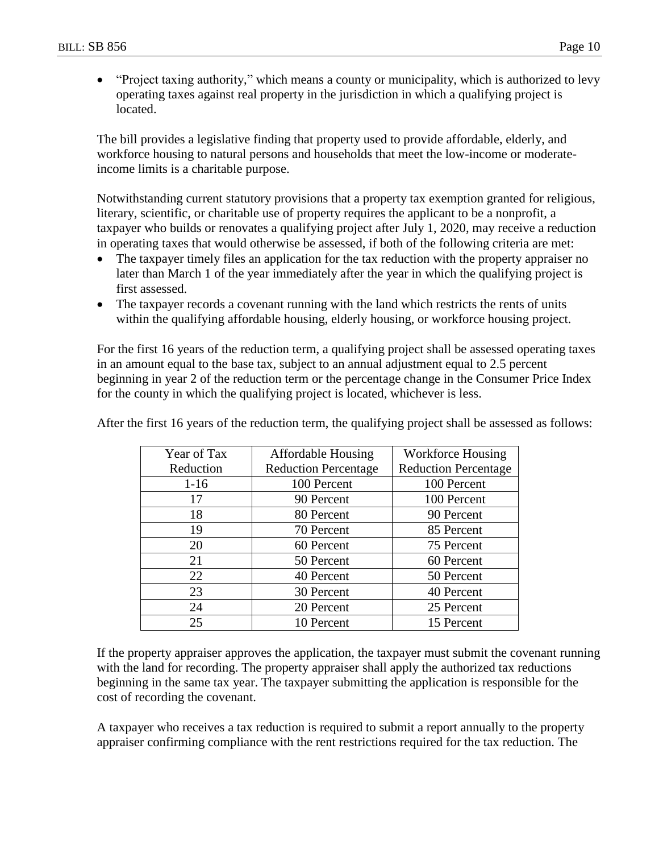"Project taxing authority," which means a county or municipality, which is authorized to levy operating taxes against real property in the jurisdiction in which a qualifying project is located.

The bill provides a legislative finding that property used to provide affordable, elderly, and workforce housing to natural persons and households that meet the low-income or moderateincome limits is a charitable purpose.

Notwithstanding current statutory provisions that a property tax exemption granted for religious, literary, scientific, or charitable use of property requires the applicant to be a nonprofit, a taxpayer who builds or renovates a qualifying project after July 1, 2020, may receive a reduction in operating taxes that would otherwise be assessed, if both of the following criteria are met:

- The taxpayer timely files an application for the tax reduction with the property appraiser no later than March 1 of the year immediately after the year in which the qualifying project is first assessed.
- The taxpayer records a covenant running with the land which restricts the rents of units within the qualifying affordable housing, elderly housing, or workforce housing project.

For the first 16 years of the reduction term, a qualifying project shall be assessed operating taxes in an amount equal to the base tax, subject to an annual adjustment equal to 2.5 percent beginning in year 2 of the reduction term or the percentage change in the Consumer Price Index for the county in which the qualifying project is located, whichever is less.

| Year of Tax | <b>Affordable Housing</b>   | <b>Workforce Housing</b>    |
|-------------|-----------------------------|-----------------------------|
| Reduction   | <b>Reduction Percentage</b> | <b>Reduction Percentage</b> |
| $1-16$      | 100 Percent                 | 100 Percent                 |
| 17          | 90 Percent                  | 100 Percent                 |
| 18          | 80 Percent                  | 90 Percent                  |
| 19          | 70 Percent                  | 85 Percent                  |
| 20          | 60 Percent                  | 75 Percent                  |
| 21          | 50 Percent                  | 60 Percent                  |
| 22          | 40 Percent                  | 50 Percent                  |
| 23          | 30 Percent                  | 40 Percent                  |
| 24          | 20 Percent                  | 25 Percent                  |
| 25          | 10 Percent                  | 15 Percent                  |

After the first 16 years of the reduction term, the qualifying project shall be assessed as follows:

If the property appraiser approves the application, the taxpayer must submit the covenant running with the land for recording. The property appraiser shall apply the authorized tax reductions beginning in the same tax year. The taxpayer submitting the application is responsible for the cost of recording the covenant.

A taxpayer who receives a tax reduction is required to submit a report annually to the property appraiser confirming compliance with the rent restrictions required for the tax reduction. The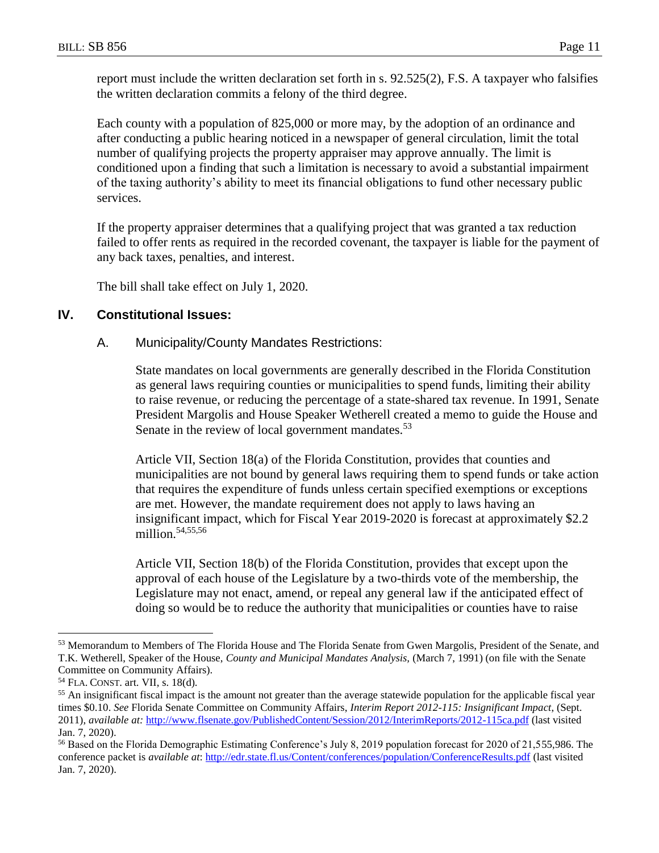report must include the written declaration set forth in s. 92.525(2), F.S. A taxpayer who falsifies the written declaration commits a felony of the third degree.

Each county with a population of 825,000 or more may, by the adoption of an ordinance and after conducting a public hearing noticed in a newspaper of general circulation, limit the total number of qualifying projects the property appraiser may approve annually. The limit is conditioned upon a finding that such a limitation is necessary to avoid a substantial impairment of the taxing authority's ability to meet its financial obligations to fund other necessary public services.

If the property appraiser determines that a qualifying project that was granted a tax reduction failed to offer rents as required in the recorded covenant, the taxpayer is liable for the payment of any back taxes, penalties, and interest.

The bill shall take effect on July 1, 2020.

## **IV. Constitutional Issues:**

#### A. Municipality/County Mandates Restrictions:

State mandates on local governments are generally described in the Florida Constitution as general laws requiring counties or municipalities to spend funds, limiting their ability to raise revenue, or reducing the percentage of a state-shared tax revenue. In 1991, Senate President Margolis and House Speaker Wetherell created a memo to guide the House and Senate in the review of local government mandates.<sup>53</sup>

Article VII, Section 18(a) of the Florida Constitution, provides that counties and municipalities are not bound by general laws requiring them to spend funds or take action that requires the expenditure of funds unless certain specified exemptions or exceptions are met. However, the mandate requirement does not apply to laws having an insignificant impact, which for Fiscal Year 2019-2020 is forecast at approximately \$2.2 million. $54,55,56$ 

Article VII, Section 18(b) of the Florida Constitution, provides that except upon the approval of each house of the Legislature by a two-thirds vote of the membership, the Legislature may not enact, amend, or repeal any general law if the anticipated effect of doing so would be to reduce the authority that municipalities or counties have to raise

<sup>53</sup> Memorandum to Members of The Florida House and The Florida Senate from Gwen Margolis, President of the Senate, and T.K. Wetherell, Speaker of the House, *County and Municipal Mandates Analysis,* (March 7, 1991) (on file with the Senate Committee on Community Affairs).

<sup>54</sup> FLA. CONST. art. VII, s. 18(d).

<sup>&</sup>lt;sup>55</sup> An insignificant fiscal impact is the amount not greater than the average statewide population for the applicable fiscal year times \$0.10. *See* Florida Senate Committee on Community Affairs, *Interim Report 2012-115: Insignificant Impact*, (Sept. 2011), *available at:* <http://www.flsenate.gov/PublishedContent/Session/2012/InterimReports/2012-115ca.pdf> (last visited Jan. 7, 2020).

<sup>56</sup> Based on the Florida Demographic Estimating Conference's July 8, 2019 population forecast for 2020 of 21,555,986. The conference packet is *available at*: <http://edr.state.fl.us/Content/conferences/population/ConferenceResults.pdf> (last visited Jan. 7, 2020).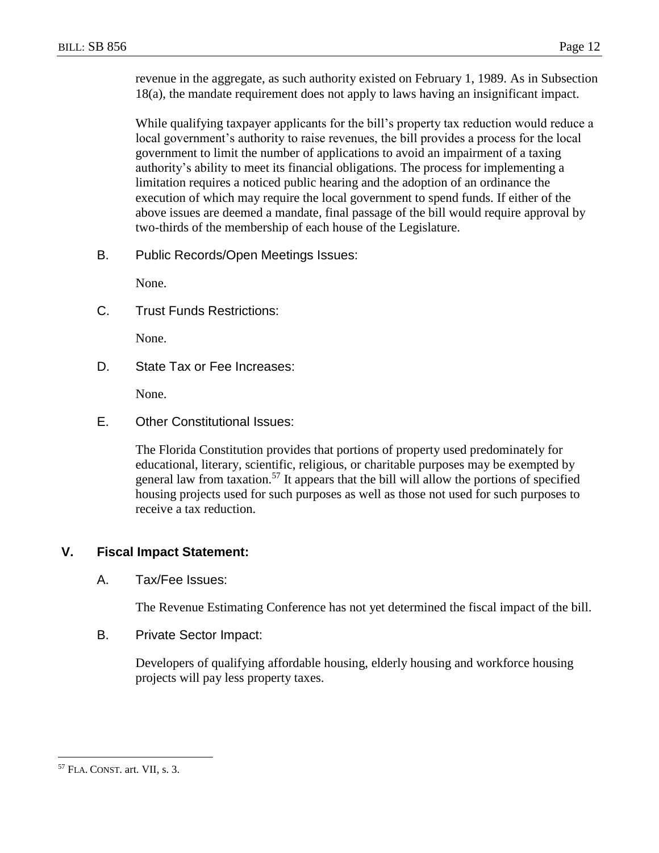revenue in the aggregate, as such authority existed on February 1, 1989. As in Subsection 18(a), the mandate requirement does not apply to laws having an insignificant impact.

While qualifying taxpayer applicants for the bill's property tax reduction would reduce a local government's authority to raise revenues, the bill provides a process for the local government to limit the number of applications to avoid an impairment of a taxing authority's ability to meet its financial obligations. The process for implementing a limitation requires a noticed public hearing and the adoption of an ordinance the execution of which may require the local government to spend funds. If either of the above issues are deemed a mandate, final passage of the bill would require approval by two-thirds of the membership of each house of the Legislature.

B. Public Records/Open Meetings Issues:

None.

C. Trust Funds Restrictions:

None.

D. State Tax or Fee Increases:

None.

E. Other Constitutional Issues:

The Florida Constitution provides that portions of property used predominately for educational, literary, scientific, religious, or charitable purposes may be exempted by general law from taxation.<sup>57</sup> It appears that the bill will allow the portions of specified housing projects used for such purposes as well as those not used for such purposes to receive a tax reduction.

## **V. Fiscal Impact Statement:**

#### A. Tax/Fee Issues:

The Revenue Estimating Conference has not yet determined the fiscal impact of the bill.

B. Private Sector Impact:

Developers of qualifying affordable housing, elderly housing and workforce housing projects will pay less property taxes.

<sup>57</sup> FLA. CONST. art. VII, s. 3.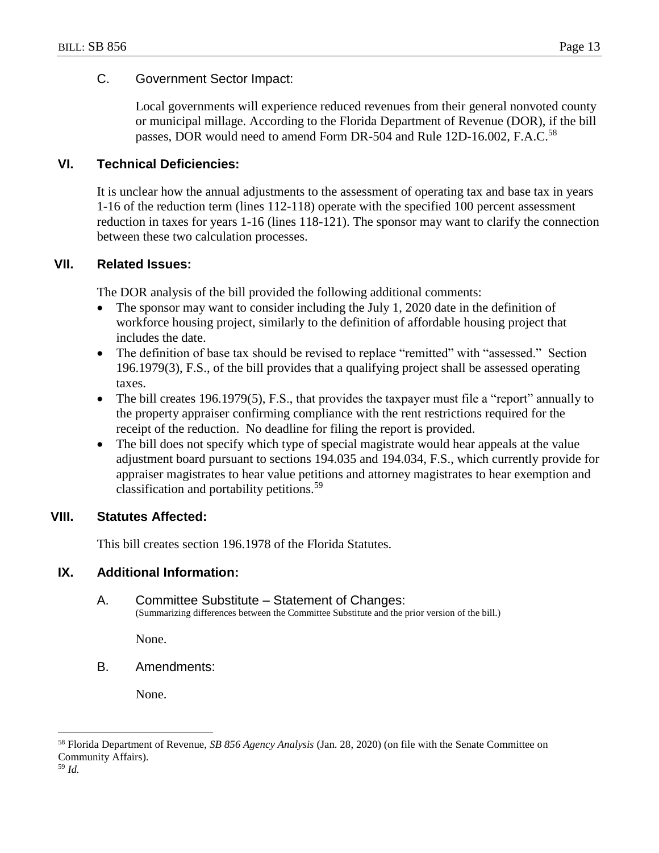### C. Government Sector Impact:

Local governments will experience reduced revenues from their general nonvoted county or municipal millage. According to the Florida Department of Revenue (DOR), if the bill passes, DOR would need to amend Form DR-504 and Rule 12D-16.002, F.A.C.<sup>58</sup>

#### **VI. Technical Deficiencies:**

It is unclear how the annual adjustments to the assessment of operating tax and base tax in years 1-16 of the reduction term (lines 112-118) operate with the specified 100 percent assessment reduction in taxes for years 1-16 (lines 118-121). The sponsor may want to clarify the connection between these two calculation processes.

#### **VII. Related Issues:**

The DOR analysis of the bill provided the following additional comments:

- The sponsor may want to consider including the July 1, 2020 date in the definition of workforce housing project, similarly to the definition of affordable housing project that includes the date.
- The definition of base tax should be revised to replace "remitted" with "assessed." Section 196.1979(3), F.S., of the bill provides that a qualifying project shall be assessed operating taxes.
- The bill creates 196.1979(5), F.S., that provides the taxpayer must file a "report" annually to the property appraiser confirming compliance with the rent restrictions required for the receipt of the reduction. No deadline for filing the report is provided.
- The bill does not specify which type of special magistrate would hear appeals at the value adjustment board pursuant to sections 194.035 and 194.034, F.S., which currently provide for appraiser magistrates to hear value petitions and attorney magistrates to hear exemption and classification and portability petitions.<sup>59</sup>

## **VIII. Statutes Affected:**

This bill creates section 196.1978 of the Florida Statutes.

#### **IX. Additional Information:**

#### A. Committee Substitute – Statement of Changes: (Summarizing differences between the Committee Substitute and the prior version of the bill.)

None.

B. Amendments:

None.

<sup>59</sup> *Id.*

<sup>58</sup> Florida Department of Revenue, *SB 856 Agency Analysis* (Jan. 28, 2020) (on file with the Senate Committee on Community Affairs).